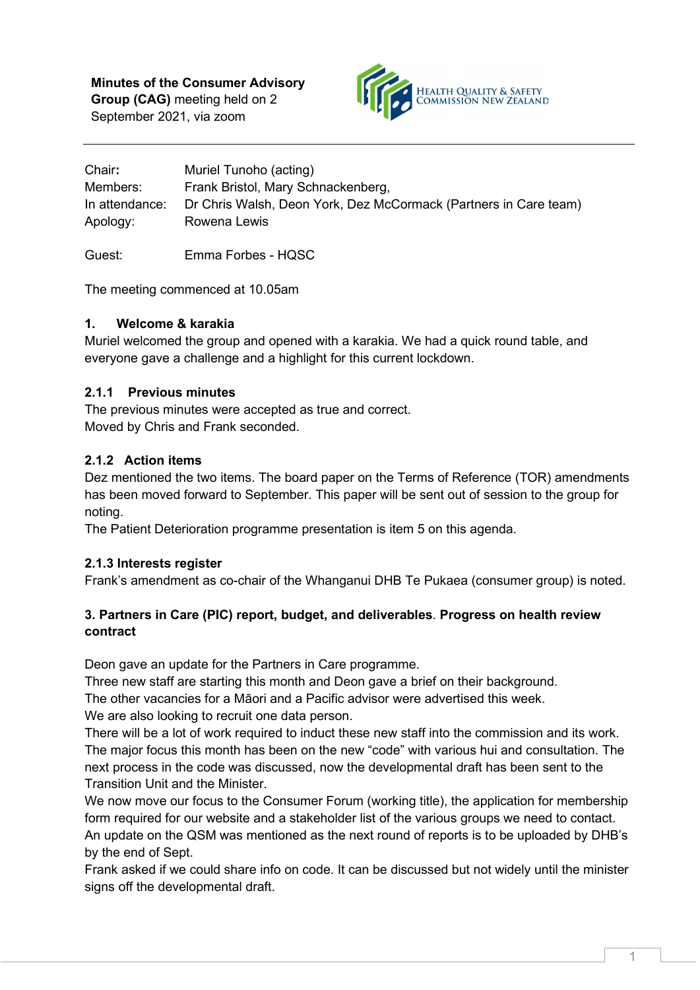**Minutes of the Consumer Advisory Group (CAG)** meeting held on 2 September 2021, via zoom



| Chair:         | Muriel Tunoho (acting)                                           |
|----------------|------------------------------------------------------------------|
| Members:       | Frank Bristol, Mary Schnackenberg,                               |
| In attendance: | Dr Chris Walsh, Deon York, Dez McCormack (Partners in Care team) |
| Apology:       | Rowena Lewis                                                     |

Guest: Emma Forbes - HQSC

The meeting commenced at 10.05am

### **1. Welcome & karakia**

Muriel welcomed the group and opened with a karakia. We had a quick round table, and everyone gave a challenge and a highlight for this current lockdown.

# **2.1.1 Previous minutes**

The previous minutes were accepted as true and correct. Moved by Chris and Frank seconded.

# **2.1.2 Action items**

Dez mentioned the two items. The board paper on the Terms of Reference (TOR) amendments has been moved forward to September. This paper will be sent out of session to the group for noting.

The Patient Deterioration programme presentation is item 5 on this agenda.

# **2.1.3 Interests register**

Frank's amendment as co-chair of the Whanganui DHB Te Pukaea (consumer group) is noted.

# **3. Partners in Care (PIC) report, budget, and deliverables**. **Progress on health review contract**

Deon gave an update for the Partners in Care programme.

Three new staff are starting this month and Deon gave a brief on their background.

The other vacancies for a Māori and a Pacific advisor were advertised this week.

We are also looking to recruit one data person.

There will be a lot of work required to induct these new staff into the commission and its work. The major focus this month has been on the new "code" with various hui and consultation. The next process in the code was discussed, now the developmental draft has been sent to the Transition Unit and the Minister.

We now move our focus to the Consumer Forum (working title), the application for membership form required for our website and a stakeholder list of the various groups we need to contact. An update on the QSM was mentioned as the next round of reports is to be uploaded by DHB's by the end of Sept.

Frank asked if we could share info on code. It can be discussed but not widely until the minister signs off the developmental draft.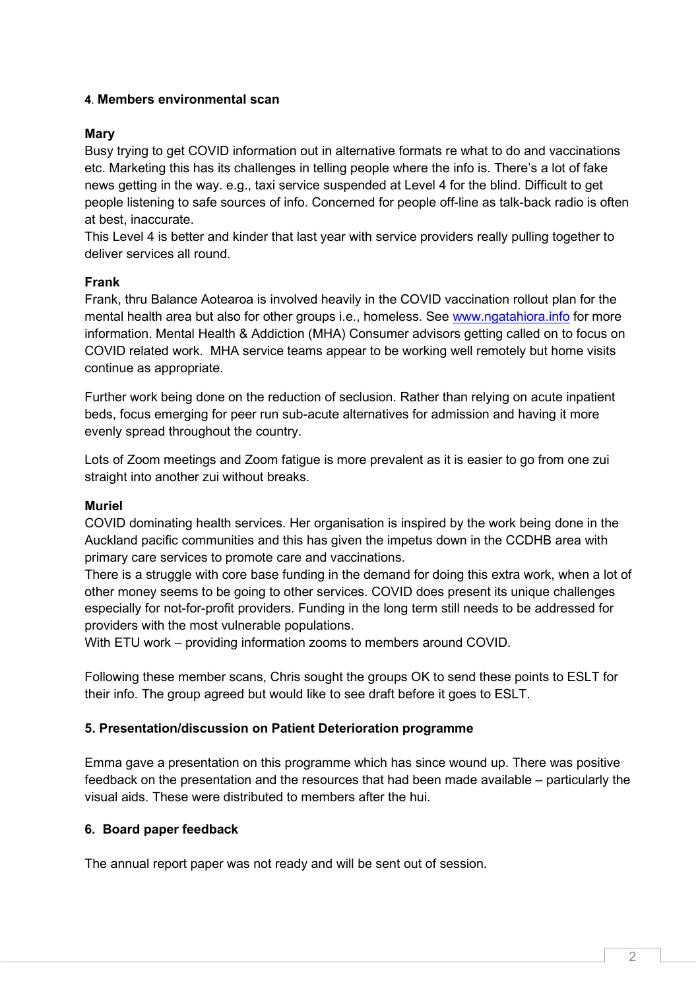### **4**. **Members environmental scan**

# **Mary**

Busy trying to get COVID information out in alternative formats re what to do and vaccinations etc. Marketing this has its challenges in telling people where the info is. There's a lot of fake news getting in the way. e.g., taxi service suspended at Level 4 for the blind. Difficult to get people listening to safe sources of info. Concerned for people off-line as talk-back radio is often at best, inaccurate.

This Level 4 is better and kinder that last year with service providers really pulling together to deliver services all round.

### **Frank**

Frank, thru Balance Aotearoa is involved heavily in the COVID vaccination rollout plan for the mental health area but also for other groups i.e., homeless. See [www.ngatahiora.info](http://www.ngatahiora.info/) for more information. Mental Health & Addiction (MHA) Consumer advisors getting called on to focus on COVID related work. MHA service teams appear to be working well remotely but home visits continue as appropriate.

Further work being done on the reduction of seclusion. Rather than relying on acute inpatient beds, focus emerging for peer run sub-acute alternatives for admission and having it more evenly spread throughout the country.

Lots of Zoom meetings and Zoom fatigue is more prevalent as it is easier to go from one zui straight into another zui without breaks.

### **Muriel**

COVID dominating health services. Her organisation is inspired by the work being done in the Auckland pacific communities and this has given the impetus down in the CCDHB area with primary care services to promote care and vaccinations.

There is a struggle with core base funding in the demand for doing this extra work, when a lot of other money seems to be going to other services. COVID does present its unique challenges especially for not-for-profit providers. Funding in the long term still needs to be addressed for providers with the most vulnerable populations.

With ETU work – providing information zooms to members around COVID.

Following these member scans, Chris sought the groups OK to send these points to ESLT for their info. The group agreed but would like to see draft before it goes to ESLT.

### **5. Presentation/discussion on Patient Deterioration programme**

Emma gave a presentation on this programme which has since wound up. There was positive feedback on the presentation and the resources that had been made available – particularly the visual aids. These were distributed to members after the hui.

### **6. Board paper feedback**

The annual report paper was not ready and will be sent out of session.